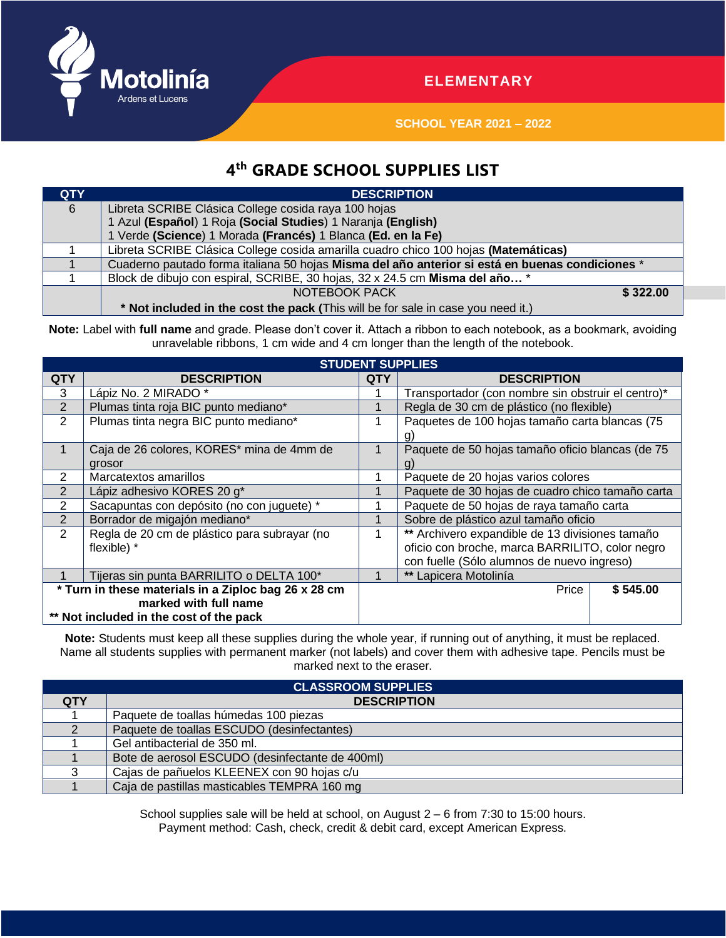

## **ELEMENTARY**

**SCHOOL YEAR 2021 – 2022**

## **4 th GRADE SCHOOL SUPPLIES LIST**

| <b>QTY</b> | <b>DESCRIPTION</b>                                                                              |          |
|------------|-------------------------------------------------------------------------------------------------|----------|
| 6          | Libreta SCRIBE Clásica College cosida raya 100 hojas                                            |          |
|            | 1 Azul (Español) 1 Roja (Social Studies) 1 Naranja (English)                                    |          |
|            | 1 Verde (Science) 1 Morada (Francés) 1 Blanca (Ed. en la Fe)                                    |          |
|            | Libreta SCRIBE Clásica College cosida amarilla cuadro chico 100 hojas (Matemáticas)             |          |
|            | Cuaderno pautado forma italiana 50 hojas Misma del año anterior si está en buenas condiciones * |          |
|            | Block de dibujo con espiral, SCRIBE, 30 hojas, 32 x 24.5 cm Misma del año *                     |          |
|            | NOTEBOOK PACK                                                                                   | \$322.00 |
|            | * Not included in the cost the pack (This will be for sale in case you need it.)                |          |

Note: Label with full name and grade. Please don't cover it. Attach a ribbon to each notebook, as a bookmark, avoiding unravelable ribbons, 1 cm wide and 4 cm longer than the length of the notebook.

| <b>STUDENT SUPPLIES</b>                              |                                              |            |                                                    |          |  |  |  |
|------------------------------------------------------|----------------------------------------------|------------|----------------------------------------------------|----------|--|--|--|
| <b>QTY</b>                                           | <b>DESCRIPTION</b>                           | <b>QTY</b> | <b>DESCRIPTION</b>                                 |          |  |  |  |
| 3                                                    | Lápiz No. 2 MIRADO*                          |            | Transportador (con nombre sin obstruir el centro)* |          |  |  |  |
| 2                                                    | Plumas tinta roja BIC punto mediano*         |            | Regla de 30 cm de plástico (no flexible)           |          |  |  |  |
| 2                                                    | Plumas tinta negra BIC punto mediano*        |            | Paquetes de 100 hojas tamaño carta blancas (75     |          |  |  |  |
|                                                      |                                              |            | g.                                                 |          |  |  |  |
|                                                      | Caja de 26 colores, KORES* mina de 4mm de    |            | Paquete de 50 hojas tamaño oficio blancas (de 75   |          |  |  |  |
|                                                      | grosor                                       |            |                                                    |          |  |  |  |
| 2                                                    | Marcatextos amarillos                        |            | Paquete de 20 hojas varios colores                 |          |  |  |  |
|                                                      | Lápiz adhesivo KORES 20 g*                   |            | Paquete de 30 hojas de cuadro chico tamaño carta   |          |  |  |  |
| 2                                                    | Sacapuntas con depósito (no con juguete) *   |            | Paquete de 50 hojas de raya tamaño carta           |          |  |  |  |
| $\overline{2}$                                       | Borrador de migajón mediano*                 |            | Sobre de plástico azul tamaño oficio               |          |  |  |  |
| 2                                                    | Regla de 20 cm de plástico para subrayar (no |            | ** Archivero expandible de 13 divisiones tamaño    |          |  |  |  |
|                                                      | flexible) *                                  |            | oficio con broche, marca BARRILITO, color negro    |          |  |  |  |
|                                                      |                                              |            | con fuelle (Sólo alumnos de nuevo ingreso)         |          |  |  |  |
|                                                      | Tijeras sin punta BARRILITO o DELTA 100*     |            | ** Lapicera Motolinía                              |          |  |  |  |
| * Turn in these materials in a Ziploc bag 26 x 28 cm |                                              |            | Price                                              | \$545.00 |  |  |  |
| marked with full name                                |                                              |            |                                                    |          |  |  |  |
| ** Not included in the cost of the pack              |                                              |            |                                                    |          |  |  |  |

**Note:** Students must keep all these supplies during the whole year, if running out of anything, it must be replaced. Name all students supplies with permanent marker (not labels) and cover them with adhesive tape. Pencils must be marked next to the eraser.

| <b>CLASSROOM SUPPLIES</b> |                                                 |  |  |  |  |
|---------------------------|-------------------------------------------------|--|--|--|--|
| <b>QTY</b>                | <b>DESCRIPTION</b>                              |  |  |  |  |
|                           | Paquete de toallas húmedas 100 piezas           |  |  |  |  |
|                           | Paquete de toallas ESCUDO (desinfectantes)      |  |  |  |  |
|                           | Gel antibacterial de 350 ml.                    |  |  |  |  |
|                           | Bote de aerosol ESCUDO (desinfectante de 400ml) |  |  |  |  |
|                           | Cajas de pañuelos KLEENEX con 90 hojas c/u      |  |  |  |  |
|                           | Caja de pastillas masticables TEMPRA 160 mg     |  |  |  |  |

School supplies sale will be held at school, on August 2 – 6 from 7:30 to 15:00 hours. Payment method: Cash, check, credit & debit card, except American Express.